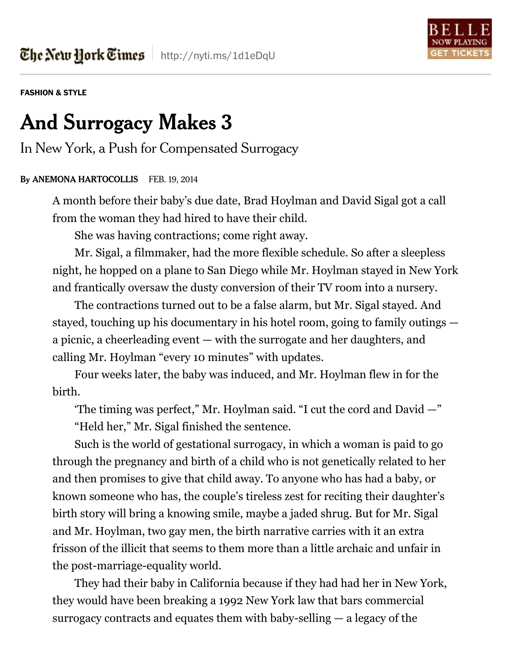

**[FASHION & STYLE](http://www.nytimes.com/pages/fashion/index.html)**

## **And Surrogacy Makes 3**

In New York, a Push for Compensated Surrogacy

## **By [ANEMONA HARTOCOLLIS](http://topics.nytimes.com/top/reference/timestopics/people/h/anemona_hartocollis/index.html)** FEB. 19, 2014

A month before their baby's due date, Brad Hoylman and David Sigal got a call from the woman they had hired to have their child.

She was having contractions; come right away.

Mr. Sigal, a filmmaker, had the more flexible schedule. So after a sleepless night, he hopped on a plane to San Diego while Mr. Hoylman stayed in New York and frantically oversaw the dusty conversion of their TV room into a nursery.

The contractions turned out to be a false alarm, but Mr. Sigal stayed. And stayed, touching up his documentary in his hotel room, going to family outings a picnic, a cheerleading event — with the surrogate and her daughters, and calling Mr. Hoylman "every 10 minutes" with updates.

Four weeks later, the baby was induced, and Mr. Hoylman flew in for the birth.

'The timing was perfect," Mr. Hoylman said. "I cut the cord and David —" "Held her," Mr. Sigal finished the sentence.

Such is the world of gestational surrogacy, in which a woman is paid to go through the pregnancy and birth of a child who is not genetically related to her and then promises to give that child away. To anyone who has had a baby, or known someone who has, the couple's tireless zest for reciting their daughter's birth story will bring a knowing smile, maybe a jaded shrug. But for Mr. Sigal and Mr. Hoylman, two gay men, the birth narrative carries with it an extra frisson of the illicit that seems to them more than a little archaic and unfair in the post-marriage-equality world.

They had their baby in California because if they had had her in New York, they would have been breaking a 1992 New York law that bars commercial surrogacy contracts and equates them with baby-selling — a legacy of the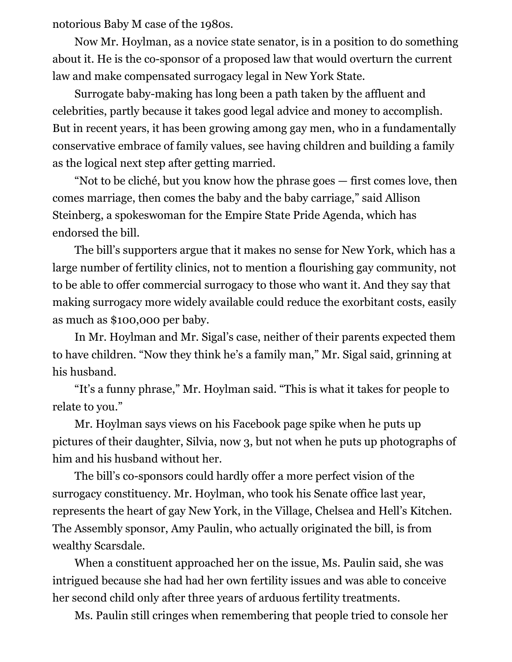notorious Baby M case of the 1980s.

Now Mr. Hoylman, as a novice state senator, is in a position to do something about it. He is the co-sponsor of a proposed law that would overturn the current law and make compensated surrogacy legal in New York State.

Surrogate baby-making has long been a path taken by the affluent and celebrities, partly because it takes good legal advice and money to accomplish. But in recent years, it has been growing among gay men, who in a fundamentally conservative embrace of family values, see having children and building a family as the logical next step after getting married.

"Not to be cliché, but you know how the phrase goes — first comes love, then comes marriage, then comes the baby and the baby carriage," said Allison Steinberg, a spokeswoman for the Empire State Pride Agenda, which has endorsed the bill.

The bill's supporters argue that it makes no sense for New York, which has a large number of fertility clinics, not to mention a flourishing gay community, not to be able to offer commercial surrogacy to those who want it. And they say that making surrogacy more widely available could reduce the exorbitant costs, easily as much as \$100,000 per baby.

In Mr. Hoylman and Mr. Sigal's case, neither of their parents expected them to have children. "Now they think he's a family man," Mr. Sigal said, grinning at his husband.

"It's a funny phrase," Mr. Hoylman said. "This is what it takes for people to relate to you."

Mr. Hoylman says views on his Facebook page spike when he puts up pictures of their daughter, Silvia, now 3, but not when he puts up photographs of him and his husband without her.

The bill's co-sponsors could hardly offer a more perfect vision of the surrogacy constituency. Mr. Hoylman, who took his Senate office last year, represents the heart of gay New York, in the Village, Chelsea and Hell's Kitchen. The Assembly sponsor, Amy Paulin, who actually originated the bill, is from wealthy Scarsdale.

When a constituent approached her on the issue, Ms. Paulin said, she was intrigued because she had had her own fertility issues and was able to conceive her second child only after three years of arduous fertility treatments.

Ms. Paulin still cringes when remembering that people tried to console her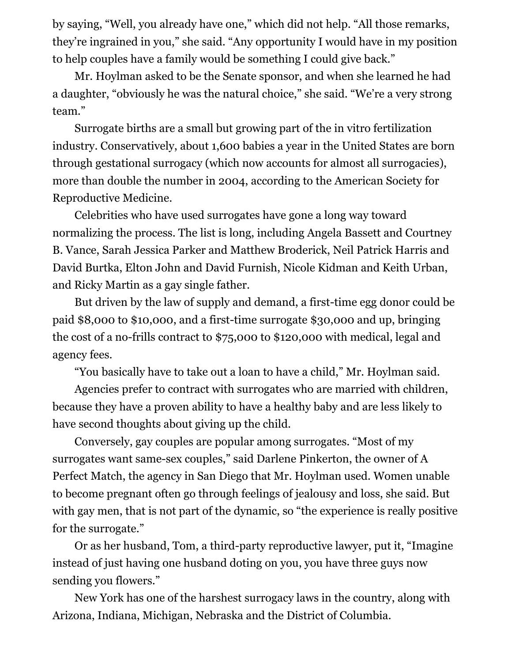by saying, "Well, you already have one," which did not help. "All those remarks, they're ingrained in you," she said. "Any opportunity I would have in my position to help couples have a family would be something I could give back."

Mr. Hoylman asked to be the Senate sponsor, and when she learned he had a daughter, "obviously he was the natural choice," she said. "We're a very strong team."

Surrogate births are a small but growing part of the in vitro fertilization industry. Conservatively, about 1,600 babies a year in the United States are born through gestational surrogacy (which now accounts for almost all surrogacies), more than double the number in 2004, according to the American Society for Reproductive Medicine.

Celebrities who have used surrogates have gone a long way toward normalizing the process. The list is long, including Angela Bassett and Courtney B. Vance, Sarah Jessica Parker and Matthew Broderick, Neil Patrick Harris and David Burtka, Elton John and David Furnish, Nicole Kidman and Keith Urban, and Ricky Martin as a gay single father.

But driven by the law of supply and demand, a first-time egg donor could be paid \$8,000 to \$10,000, and a first-time surrogate \$30,000 and up, bringing the cost of a no-frills contract to \$75,000 to \$120,000 with medical, legal and agency fees.

"You basically have to take out a loan to have a child," Mr. Hoylman said.

Agencies prefer to contract with surrogates who are married with children, because they have a proven ability to have a healthy baby and are less likely to have second thoughts about giving up the child.

Conversely, gay couples are popular among surrogates. "Most of my surrogates want same-sex couples," said Darlene Pinkerton, the owner of A Perfect Match, the agency in San Diego that Mr. Hoylman used. Women unable to become pregnant often go through feelings of jealousy and loss, she said. But with gay men, that is not part of the dynamic, so "the experience is really positive for the surrogate."

Or as her husband, Tom, a third-party reproductive lawyer, put it, "Imagine instead of just having one husband doting on you, you have three guys now sending you flowers."

New York has one of the harshest surrogacy laws in the country, along with Arizona, Indiana, Michigan, Nebraska and the District of Columbia.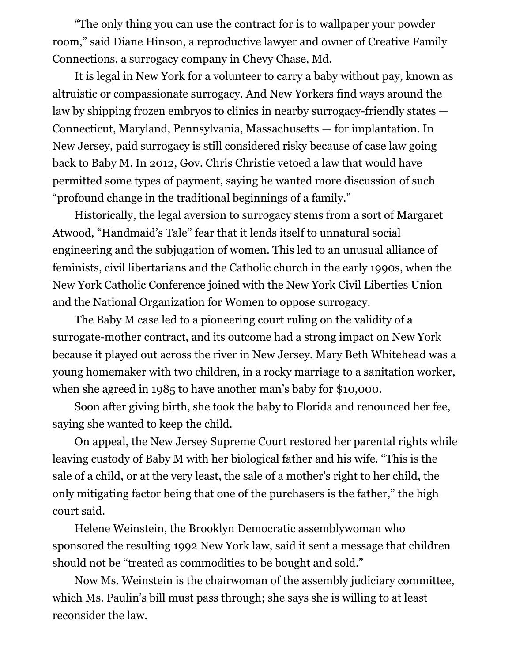"The only thing you can use the contract for is to wallpaper your powder room," said Diane Hinson, a reproductive lawyer and owner of Creative Family Connections, a surrogacy company in Chevy Chase, Md.

It is legal in New York for a volunteer to carry a baby without pay, known as altruistic or compassionate surrogacy. And New Yorkers find ways around the law by shipping frozen embryos to clinics in nearby surrogacy-friendly states — Connecticut, Maryland, Pennsylvania, Massachusetts — for implantation. In New Jersey, paid surrogacy is still considered risky because of case law going back to Baby M. In 2012, Gov. Chris Christie vetoed a law that would have permitted some types of payment, saying he wanted more discussion of such "profound change in the traditional beginnings of a family."

Historically, the legal aversion to surrogacy stems from a sort of Margaret Atwood, "Handmaid's Tale" fear that it lends itself to unnatural social engineering and the subjugation of women. This led to an unusual alliance of feminists, civil libertarians and the Catholic church in the early 1990s, when the New York Catholic Conference joined with the New York Civil Liberties Union and the National Organization for Women to oppose surrogacy.

The Baby M case led to a pioneering court ruling on the validity of a surrogate-mother contract, and its outcome had a strong impact on New York because it played out across the river in New Jersey. Mary Beth Whitehead was a young homemaker with two children, in a rocky marriage to a sanitation worker, when she agreed in 1985 to have another man's baby for \$10,000.

Soon after giving birth, she took the baby to Florida and renounced her fee, saying she wanted to keep the child.

On appeal, the New Jersey Supreme Court restored her parental rights while leaving custody of Baby M with her biological father and his wife. "This is the sale of a child, or at the very least, the sale of a mother's right to her child, the only mitigating factor being that one of the purchasers is the father," the high court said.

Helene Weinstein, the Brooklyn Democratic assemblywoman who sponsored the resulting 1992 New York law, said it sent a message that children should not be "treated as commodities to be bought and sold."

Now Ms. Weinstein is the chairwoman of the assembly judiciary committee, which Ms. Paulin's bill must pass through; she says she is willing to at least reconsider the law.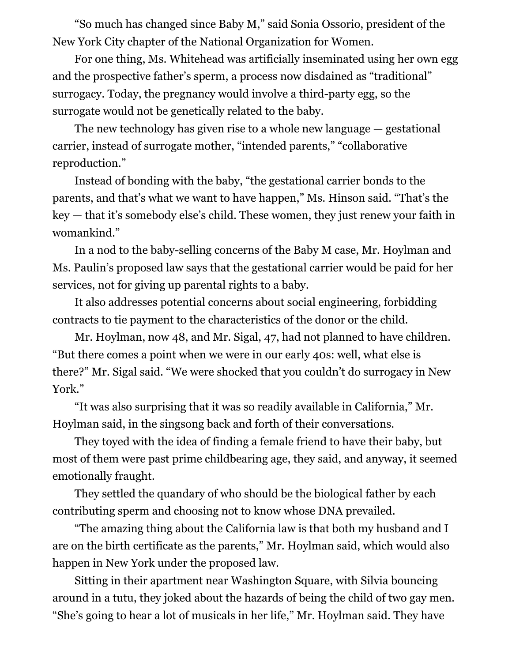"So much has changed since Baby M," said Sonia Ossorio, president of the New York City chapter of the National Organization for Women.

For one thing, Ms. Whitehead was artificially inseminated using her own egg and the prospective father's sperm, a process now disdained as "traditional" surrogacy. Today, the pregnancy would involve a third-party egg, so the surrogate would not be genetically related to the baby.

The new technology has given rise to a whole new language — gestational carrier, instead of surrogate mother, "intended parents," "collaborative reproduction."

Instead of bonding with the baby, "the gestational carrier bonds to the parents, and that's what we want to have happen," Ms. Hinson said. "That's the key — that it's somebody else's child. These women, they just renew your faith in womankind."

In a nod to the baby-selling concerns of the Baby M case, Mr. Hoylman and Ms. Paulin's proposed law says that the gestational carrier would be paid for her services, not for giving up parental rights to a baby.

It also addresses potential concerns about social engineering, forbidding contracts to tie payment to the characteristics of the donor or the child.

Mr. Hoylman, now 48, and Mr. Sigal, 47, had not planned to have children. "But there comes a point when we were in our early 40s: well, what else is there?" Mr. Sigal said. "We were shocked that you couldn't do surrogacy in New York."

"It was also surprising that it was so readily available in California," Mr. Hoylman said, in the singsong back and forth of their conversations.

They toyed with the idea of finding a female friend to have their baby, but most of them were past prime childbearing age, they said, and anyway, it seemed emotionally fraught.

They settled the quandary of who should be the biological father by each contributing sperm and choosing not to know whose DNA prevailed.

"The amazing thing about the California law is that both my husband and I are on the birth certificate as the parents," Mr. Hoylman said, which would also happen in New York under the proposed law.

Sitting in their apartment near Washington Square, with Silvia bouncing around in a tutu, they joked about the hazards of being the child of two gay men. "She's going to hear a lot of musicals in her life," Mr. Hoylman said. They have